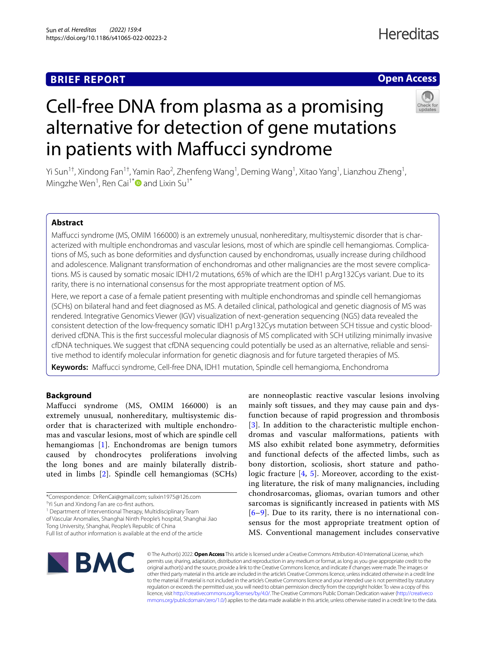# **BRIEF REPORT**

# **Open Access**



# Cell-free DNA from plasma as a promising alternative for detection of gene mutations in patients with Maffucci syndrome

Yi Sun<sup>1†</sup>, Xindong Fan<sup>1†</sup>, Yamin Rao<sup>2</sup>, Zhenfeng Wang<sup>1</sup>, Deming Wang<sup>1</sup>, Xitao Yang<sup>1</sup>, Lianzhou Zheng<sup>1</sup>, Mingzhe Wen<sup>1</sup>, Ren Cai<sup>1[\\*](http://orcid.org/0000-0002-6025-0170)</sup> and Lixin Su<sup>1\*</sup>

# **Abstract**

Mafucci syndrome (MS, OMIM 166000) is an extremely unusual, nonhereditary, multisystemic disorder that is characterized with multiple enchondromas and vascular lesions, most of which are spindle cell hemangiomas. Complications of MS, such as bone deformities and dysfunction caused by enchondromas, usually increase during childhood and adolescence. Malignant transformation of enchondromas and other malignancies are the most severe complications. MS is caused by somatic mosaic IDH1/2 mutations, 65% of which are the IDH1 p.Arg132Cys variant. Due to its rarity, there is no international consensus for the most appropriate treatment option of MS.

Here, we report a case of a female patient presenting with multiple enchondromas and spindle cell hemangiomas (SCHs) on bilateral hand and feet diagnosed as MS. A detailed clinical, pathological and genetic diagnosis of MS was rendered. Integrative Genomics Viewer (IGV) visualization of next-generation sequencing (NGS) data revealed the consistent detection of the low-frequency somatic IDH1 p.Arg132Cys mutation between SCH tissue and cystic bloodderived cfDNA. This is the first successful molecular diagnosis of MS complicated with SCH utilizing minimally invasive cfDNA techniques. We suggest that cfDNA sequencing could potentially be used as an alternative, reliable and sensitive method to identify molecular information for genetic diagnosis and for future targeted therapies of MS.

**Keywords:** Mafucci syndrome, Cell-free DNA, IDH1 mutation, Spindle cell hemangioma, Enchondroma

## **Background**

Mafucci syndrome (MS, OMIM 166000) is an extremely unusual, nonhereditary, multisystemic disorder that is characterized with multiple enchondromas and vascular lesions, most of which are spindle cell hemangiomas [[1\]](#page-3-0). Enchondromas are benign tumors caused by chondrocytes proliferations involving the long bones and are mainly bilaterally distributed in limbs [[2](#page-3-1)]. Spindle cell hemangiomas (SCHs)

<sup>1</sup> Department of Interventional Therapy, Multidisciplinary Team of Vascular Anomalies, Shanghai Ninth People's hospital, Shanghai Jiao

Tong University, Shanghai, People's Republic of China

are nonneoplastic reactive vascular lesions involving mainly soft tissues, and they may cause pain and dysfunction because of rapid progression and thrombosis [[3](#page-3-2)]. In addition to the characteristic multiple enchondromas and vascular malformations, patients with MS also exhibit related bone asymmetry, deformities and functional defects of the afected limbs, such as bony distortion, scoliosis, short stature and patho-logic fracture [[4](#page-3-3), [5](#page-3-4)]. Moreover, according to the existing literature, the risk of many malignancies, including chondrosarcomas, gliomas, ovarian tumors and other sarcomas is signifcantly increased in patients with MS [[6](#page-3-5)[–9](#page-3-6)]. Due to its rarity, there is no international consensus for the most appropriate treatment option of MS. Conventional management includes conservative



© The Author(s) 2022. **Open Access** This article is licensed under a Creative Commons Attribution 4.0 International License, which permits use, sharing, adaptation, distribution and reproduction in any medium or format, as long as you give appropriate credit to the original author(s) and the source, provide a link to the Creative Commons licence, and indicate if changes were made. The images or other third party material in this article are included in the article's Creative Commons licence, unless indicated otherwise in a credit line to the material. If material is not included in the article's Creative Commons licence and your intended use is not permitted by statutory regulation or exceeds the permitted use, you will need to obtain permission directly from the copyright holder. To view a copy of this licence, visit [http://creativecommons.org/licenses/by/4.0/.](http://creativecommons.org/licenses/by/4.0/) The Creative Commons Public Domain Dedication waiver ([http://creativeco](http://creativecommons.org/publicdomain/zero/1.0/) [mmons.org/publicdomain/zero/1.0/](http://creativecommons.org/publicdomain/zero/1.0/)) applies to the data made available in this article, unless otherwise stated in a credit line to the data.

<sup>\*</sup>Correspondence: DrRenCai@gmail.com; sulixin1975@126.com

<sup>†</sup> Yi Sun and Xindong Fan are co-frst authors.

Full list of author information is available at the end of the article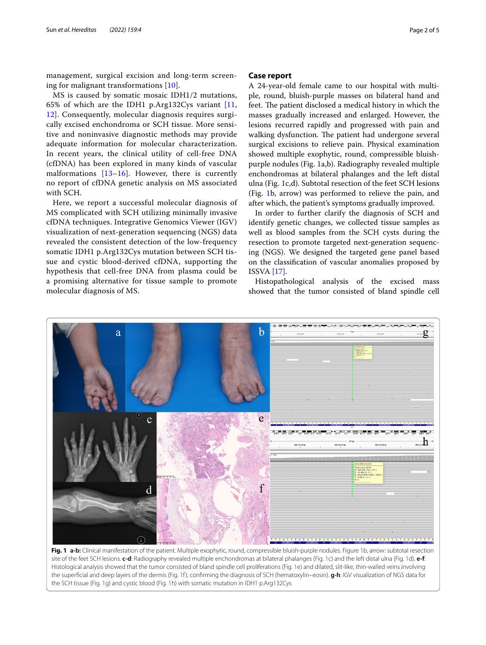management, surgical excision and long-term screening for malignant transformations [\[10](#page-3-7)].

MS is caused by somatic mosaic IDH1/2 mutations, 65% of which are the IDH1 p.Arg132Cys variant [\[11](#page-3-8), [12\]](#page-3-9). Consequently, molecular diagnosis requires surgically excised enchondroma or SCH tissue. More sensitive and noninvasive diagnostic methods may provide adequate information for molecular characterization. In recent years, the clinical utility of cell-free DNA (cfDNA) has been explored in many kinds of vascular malformations  $[13–16]$  $[13–16]$  $[13–16]$  $[13–16]$ . However, there is currently no report of cfDNA genetic analysis on MS associated with SCH.

Here, we report a successful molecular diagnosis of MS complicated with SCH utilizing minimally invasive cfDNA techniques. Integrative Genomics Viewer (IGV) visualization of next-generation sequencing (NGS) data revealed the consistent detection of the low-frequency somatic IDH1 p.Arg132Cys mutation between SCH tissue and cystic blood-derived cfDNA, supporting the hypothesis that cell-free DNA from plasma could be a promising alternative for tissue sample to promote molecular diagnosis of MS.

## **Case report**

A 24-year-old female came to our hospital with multiple, round, bluish-purple masses on bilateral hand and feet. The patient disclosed a medical history in which the masses gradually increased and enlarged. However, the lesions recurred rapidly and progressed with pain and walking dysfunction. The patient had undergone several surgical excisions to relieve pain. Physical examination showed multiple exophytic, round, compressible bluishpurple nodules (Fig. [1a](#page-1-0),b). Radiography revealed multiple enchondromas at bilateral phalanges and the left distal ulna (Fig. [1c](#page-1-0),d). Subtotal resection of the feet SCH lesions (Fig. [1](#page-1-0)b, arrow) was performed to relieve the pain, and after which, the patient's symptoms gradually improved.

In order to further clarify the diagnosis of SCH and identify genetic changes, we collected tissue samples as well as blood samples from the SCH cysts during the resection to promote targeted next-generation sequencing (NGS). We designed the targeted gene panel based on the classifcation of vascular anomalies proposed by ISSVA [[17\]](#page-4-1).

Histopathological analysis of the excised mass showed that the tumor consisted of bland spindle cell



<span id="page-1-0"></span>**Fig. 1 a-b:** Clinical manifestation of the patient. Multiple exophytic, round, compressible bluish-purple nodules. Figure [1b](#page-1-0), arrow: subtotal resection site of the feet SCH lesions. **c-d**: Radiography revealed multiple enchondromas at bilateral phalanges (Fig. [1c](#page-1-0)) and the left distal ulna (Fig. [1](#page-1-0)d). **e-f**: Histological analysis showed that the tumor consisted of bland spindle cell proliferations (Fig. [1](#page-1-0)e) and dilated, slit-like, thin-walled veins involving the superfcial and deep layers of the dermis (Fig. [1](#page-1-0)f ), confrming the diagnosis of SCH (hematoxylin–eosin). **g-h**: IGV visualization of NGS data for the SCH tissue (Fig. [1](#page-1-0)g) and cystic blood (Fig. [1](#page-1-0)h) with somatic mutation in IDH1 p.Arg132Cys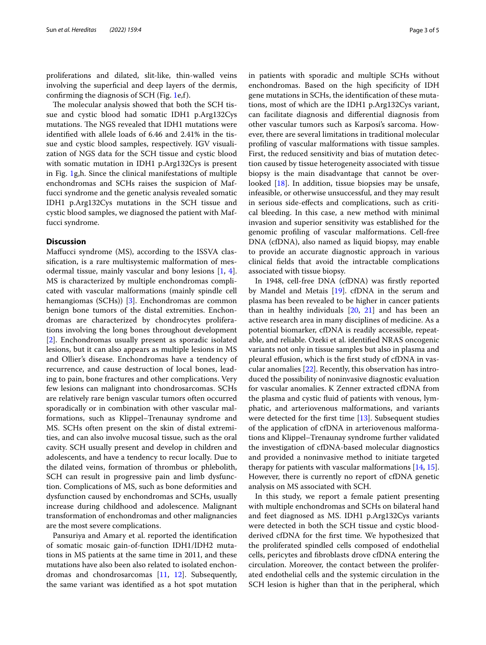proliferations and dilated, slit-like, thin-walled veins involving the superficial and deep layers of the dermis, confrming the diagnosis of SCH (Fig. [1e](#page-1-0),f).

The molecular analysis showed that both the SCH tissue and cystic blood had somatic IDH1 p.Arg132Cys mutations. The NGS revealed that IDH1 mutations were identifed with allele loads of 6.46 and 2.41% in the tissue and cystic blood samples, respectively. IGV visualization of NGS data for the SCH tissue and cystic blood with somatic mutation in IDH1 p.Arg132Cys is present in Fig. [1g](#page-1-0),h. Since the clinical manifestations of multiple enchondromas and SCHs raises the suspicion of Maffucci syndrome and the genetic analysis revealed somatic IDH1 p.Arg132Cys mutations in the SCH tissue and cystic blood samples, we diagnosed the patient with Maffucci syndrome.

### **Discussion**

Mafucci syndrome (MS), according to the ISSVA classifcation, is a rare multisystemic malformation of mesodermal tissue, mainly vascular and bony lesions [\[1](#page-3-0), [4](#page-3-3)]. MS is characterized by multiple enchondromas complicated with vascular malformations (mainly spindle cell hemangiomas (SCHs)) [[3\]](#page-3-2). Enchondromas are common benign bone tumors of the distal extremities. Enchondromas are characterized by chondrocytes proliferations involving the long bones throughout development [[2\]](#page-3-1). Enchondromas usually present as sporadic isolated lesions, but it can also appears as multiple lesions in MS and Ollier's disease. Enchondromas have a tendency of recurrence, and cause destruction of local bones, leading to pain, bone fractures and other complications. Very few lesions can malignant into chondrosarcomas. SCHs are relatively rare benign vascular tumors often occurred sporadically or in combination with other vascular malformations, such as Klippel–Trenaunay syndrome and MS. SCHs often present on the skin of distal extremities, and can also involve mucosal tissue, such as the oral cavity. SCH usually present and develop in children and adolescents, and have a tendency to recur locally. Due to the dilated veins, formation of thrombus or phlebolith, SCH can result in progressive pain and limb dysfunction. Complications of MS, such as bone deformities and dysfunction caused by enchondromas and SCHs, usually increase during childhood and adolescence. Malignant transformation of enchondromas and other malignancies are the most severe complications.

Pansuriya and Amary et al. reported the identifcation of somatic mosaic gain-of-function IDH1/IDH2 mutations in MS patients at the same time in 2011, and these mutations have also been also related to isolated enchondromas and chondrosarcomas [[11](#page-3-8), [12](#page-3-9)]. Subsequently, the same variant was identifed as a hot spot mutation in patients with sporadic and multiple SCHs without enchondromas. Based on the high specifcity of IDH gene mutations in SCHs, the identifcation of these mutations, most of which are the IDH1 p.Arg132Cys variant, can facilitate diagnosis and diferential diagnosis from other vascular tumors such as Karposi's sarcoma. However, there are several limitations in traditional molecular profling of vascular malformations with tissue samples. First, the reduced sensitivity and bias of mutation detection caused by tissue heterogeneity associated with tissue biopsy is the main disadvantage that cannot be over-looked [\[18](#page-4-2)]. In addition, tissue biopsies may be unsafe, infeasible, or otherwise unsuccessful, and they may result in serious side-efects and complications, such as critical bleeding. In this case, a new method with minimal

invasion and superior sensitivity was established for the genomic profling of vascular malformations. Cell-free DNA (cfDNA), also named as liquid biopsy, may enable to provide an accurate diagnostic approach in various clinical felds that avoid the intractable complications associated with tissue biopsy.

In 1948, cell-free DNA (cfDNA) was frstly reported by Mandel and Metais [[19\]](#page-4-3). cfDNA in the serum and plasma has been revealed to be higher in cancer patients than in healthy individuals [\[20](#page-4-4), [21](#page-4-5)] and has been an active research area in many disciplines of medicine. As a potential biomarker, cfDNA is readily accessible, repeatable, and reliable. Ozeki et al. identifed NRAS oncogenic variants not only in tissue samples but also in plasma and pleural effusion, which is the first study of cfDNA in vascular anomalies [\[22](#page-4-6)]. Recently, this observation has introduced the possibility of noninvasive diagnostic evaluation for vascular anomalies. K Zenner extracted cfDNA from the plasma and cystic fuid of patients with venous, lymphatic, and arteriovenous malformations, and variants were detected for the frst time [[13\]](#page-3-10). Subsequent studies of the application of cfDNA in arteriovenous malformations and Klippel–Trenaunay syndrome further validated the investigation of cfDNA-based molecular diagnostics and provided a noninvasive method to initiate targeted therapy for patients with vascular malformations [[14,](#page-3-11) [15](#page-4-7)]. However, there is currently no report of cfDNA genetic analysis on MS associated with SCH.

In this study, we report a female patient presenting with multiple enchondromas and SCHs on bilateral hand and feet diagnosed as MS. IDH1 p.Arg132Cys variants were detected in both the SCH tissue and cystic bloodderived cfDNA for the frst time. We hypothesized that the proliferated spindled cells composed of endothelial cells, pericytes and fbroblasts drove cfDNA entering the circulation. Moreover, the contact between the proliferated endothelial cells and the systemic circulation in the SCH lesion is higher than that in the peripheral, which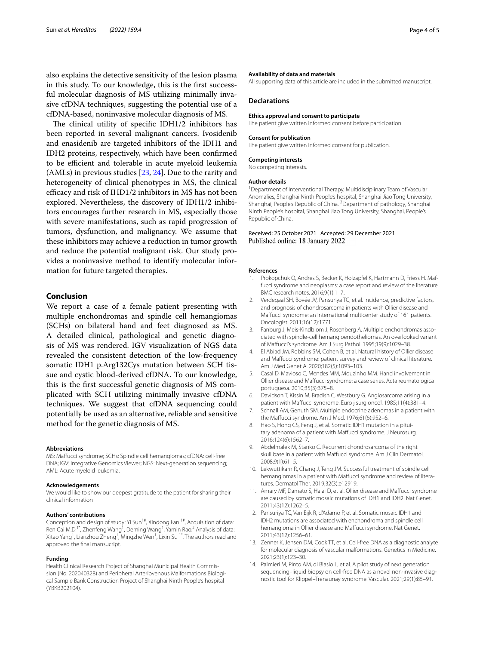also explains the detective sensitivity of the lesion plasma in this study. To our knowledge, this is the frst successful molecular diagnosis of MS utilizing minimally invasive cfDNA techniques, suggesting the potential use of a cfDNA-based, noninvasive molecular diagnosis of MS.

The clinical utility of specific IDH $1/2$  inhibitors has been reported in several malignant cancers. Ivosidenib and enasidenib are targeted inhibitors of the IDH1 and IDH2 proteins, respectively, which have been confrmed to be efficient and tolerable in acute myeloid leukemia (AMLs) in previous studies [\[23](#page-4-8), [24](#page-4-9)]. Due to the rarity and heterogeneity of clinical phenotypes in MS, the clinical efficacy and risk of  $IHD1/2$  inhibitors in MS has not been explored. Nevertheless, the discovery of IDH1/2 inhibitors encourages further research in MS, especially those with severe manifestations, such as rapid progression of tumors, dysfunction, and malignancy. We assume that these inhibitors may achieve a reduction in tumor growth and reduce the potential malignant risk. Our study provides a noninvasive method to identify molecular information for future targeted therapies.

#### **Conclusion**

We report a case of a female patient presenting with multiple enchondromas and spindle cell hemangiomas (SCHs) on bilateral hand and feet diagnosed as MS. A detailed clinical, pathological and genetic diagnosis of MS was rendered. IGV visualization of NGS data revealed the consistent detection of the low-frequency somatic IDH1 p.Arg132Cys mutation between SCH tissue and cystic blood-derived cfDNA. To our knowledge, this is the frst successful genetic diagnosis of MS complicated with SCH utilizing minimally invasive cfDNA techniques. We suggest that cfDNA sequencing could potentially be used as an alternative, reliable and sensitive method for the genetic diagnosis of MS.

#### **Abbreviations**

MS: Mafucci syndrome; SCHs: Spindle cell hemangiomas; cfDNA: cell-free DNA; IGV: Integrative Genomics Viewer; NGS: Next-generation sequencing; AML: Acute myeloid leukemia.

#### **Acknowledgements**

We would like to show our deepest gratitude to the patient for sharing their clinical information

#### **Authors' contributions**

Conception and design of study: Yi Sun<sup>1#</sup>, Xindong Fan<sup>1#</sup>, Acquisition of data: Ren Cai M.D.<sup>1\*</sup>, Zhenfeng Wang<sup>1</sup>, Deming Wang<sup>1</sup>, Yamin Rao.<sup>2</sup> Analysis of data: Xitao Yang<sup>1</sup>, Lianzhou Zheng<sup>1</sup>, Mingzhe Wen<sup>1</sup>, Lixin Su <sup>1\*</sup>. The authors read and approved the fnal mansucript.

#### **Funding**

Health Clinical Research Project of Shanghai Municipal Health Commission (No. 202040328) and Peripheral Arteriovenous Malformations Biological Sample Bank Construction Project of Shanghai Ninth People's hospital (YBKB202104).

#### **Availability of data and materials**

All supporting data of this article are included in the submitted manuscript.

#### **Declarations**

#### **Ethics approval and consent to participate**

The patient give written informed consent before participation.

#### **Consent for publication**

The patient give written informed consent for publication.

#### **Competing interests** No competing interests.

**Author details**

<sup>1</sup> Department of Interventional Therapy, Multidisciplinary Team of Vascular Anomalies, Shanghai Ninth People's hospital, Shanghai Jiao Tong University, Shanghai, People's Republic of China. <sup>2</sup> Department of pathology, Shanghai Ninth People's hospital, Shanghai Jiao Tong University, Shanghai, People's Republic of China.

#### Received: 25 October 2021 Accepted: 29 December 2021 Published online: 18 January 2022

#### **References**

- <span id="page-3-0"></span>1. Prokopchuk O, Andres S, Becker K, Holzapfel K, Hartmann D, Friess H. Maffucci syndrome and neoplasms: a case report and review of the literature. BMC research notes. 2016;9(1):1–7.
- <span id="page-3-1"></span>2. Verdegaal SH, Bovée JV, Pansuriya TC, et al. Incidence, predictive factors, and prognosis of chondrosarcoma in patients with Ollier disease and Mafucci syndrome: an international multicenter study of 161 patients. Oncologist. 2011;16(12):1771.
- <span id="page-3-2"></span>3. Fanburg J, Meis-Kindblom J, Rosenberg A. Multiple enchondromas associated with spindle-cell hemangioendotheliomas. An overlooked variant of Mafucci's syndrome. Am J Surg Pathol. 1995;19(9):1029–38.
- <span id="page-3-3"></span>4. El Abiad JM, Robbins SM, Cohen B, et al. Natural history of Ollier disease and Mafucci syndrome: patient survey and review of clinical literature. Am J Med Genet A. 2020;182(5):1093–103.
- <span id="page-3-4"></span>5. Casal D, Mavioso C, Mendes MM, Mouzinho MM. Hand involvement in Ollier disease and Mafucci syndrome: a case series. Acta reumatologica portuguesa. 2010;35(3):375–8.
- <span id="page-3-5"></span>6. Davidson T, Kissin M, Bradish C, Westbury G. Angiosarcoma arising in a patient with Maffucci syndrome. Euro j surg oncol. 1985;11(4):381-4.
- 7. Schnall AM, Genuth SM. Multiple endocrine adenomas in a patient with the Mafucci syndrome. Am J Med. 1976;61(6):952–6.
- Hao S, Hong CS, Feng J, et al. Somatic IDH1 mutation in a pituitary adenoma of a patient with Mafucci syndrome. J Neurosurg. 2016;124(6):1562–7.
- <span id="page-3-6"></span>Abdelmalek M, Stanko C. Recurrent chondrosarcoma of the right skull base in a patient with Mafucci syndrome. Am J Clin Dermatol. 2008;9(1):61–5.
- <span id="page-3-7"></span>10. Lekwuttikarn R, Chang J, Teng JM. Successful treatment of spindle cell hemangiomas in a patient with Mafucci syndrome and review of literatures. Dermatol Ther. 2019;32(3):e12919.
- <span id="page-3-8"></span>11. Amary MF, Damato S, Halai D, et al. Ollier disease and Mafucci syndrome are caused by somatic mosaic mutations of IDH1 and IDH2. Nat Genet. 2011;43(12):1262–5.
- <span id="page-3-9"></span>12. Pansuriya TC, Van Eijk R, d'Adamo P, et al. Somatic mosaic IDH1 and IDH2 mutations are associated with enchondroma and spindle cell hemangioma in Ollier disease and Mafucci syndrome. Nat Genet. 2011;43(12):1256–61.
- <span id="page-3-10"></span>13. Zenner K, Jensen DM, Cook TT, et al. Cell-free DNA as a diagnostic analyte for molecular diagnosis of vascular malformations. Genetics in Medicine. 2021;23(1):123–30.
- <span id="page-3-11"></span>14. Palmieri M, Pinto AM, di Blasio L, et al. A pilot study of next generation sequencing–liquid biopsy on cell-free DNA as a novel non-invasive diagnostic tool for Klippel–Trenaunay syndrome. Vascular. 2021;29(1):85–91.